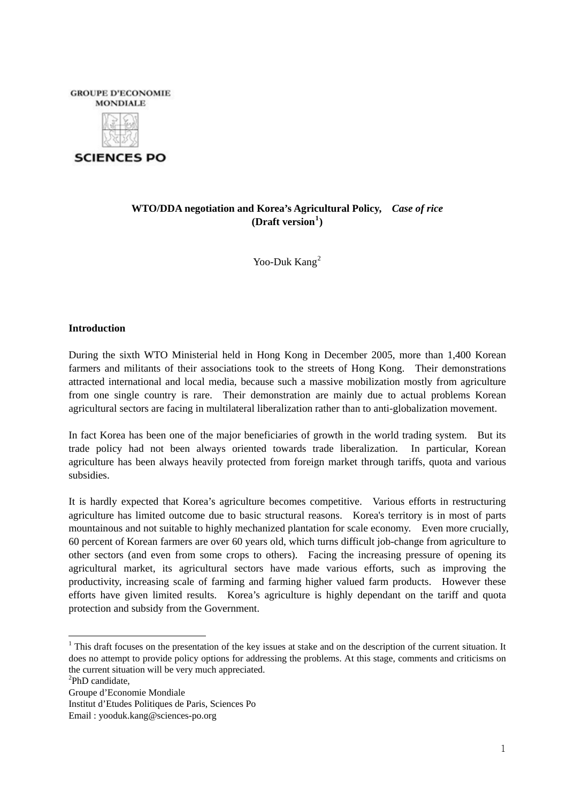

**SCIENCES PO** 

# **WTO/DDA negotiation and Korea's Agricultural Policy,** *Case of rice*  **(Draft version[1](#page-0-0) )**

Yoo-Duk Kang<sup>[2](#page-0-1)</sup>

# **Introduction**

During the sixth WTO Ministerial held in Hong Kong in December 2005, more than 1,400 Korean farmers and militants of their associations took to the streets of Hong Kong. Their demonstrations attracted international and local media, because such a massive mobilization mostly from agriculture from one single country is rare. Their demonstration are mainly due to actual problems Korean agricultural sectors are facing in multilateral liberalization rather than to anti-globalization movement.

In fact Korea has been one of the major beneficiaries of growth in the world trading system. But its trade policy had not been always oriented towards trade liberalization. In particular, Korean agriculture has been always heavily protected from foreign market through tariffs, quota and various subsidies.

It is hardly expected that Korea's agriculture becomes competitive. Various efforts in restructuring agriculture has limited outcome due to basic structural reasons. Korea's territory is in most of parts mountainous and not suitable to highly mechanized plantation for scale economy. Even more crucially, 60 percent of Korean farmers are over 60 years old, which turns difficult job-change from agriculture to other sectors (and even from some crops to others). Facing the increasing pressure of opening its agricultural market, its agricultural sectors have made various efforts, such as improving the productivity, increasing scale of farming and farming higher valued farm products. However these efforts have given limited results. Korea's agriculture is highly dependant on the tariff and quota protection and subsidy from the Government.

<span id="page-0-0"></span> $<sup>1</sup>$  This draft focuses on the presentation of the key issues at stake and on the description of the current situation. It</sup> does no attempt to provide policy options for addressing the problems. At this stage, comments and criticisms on the current situation will be very much appreciated.

<span id="page-0-1"></span><sup>&</sup>lt;sup>2</sup>PhD candidate,

Groupe d'Economie Mondiale

Institut d'Etudes Politiques de Paris, Sciences Po

Email : yooduk.kang@sciences-po.org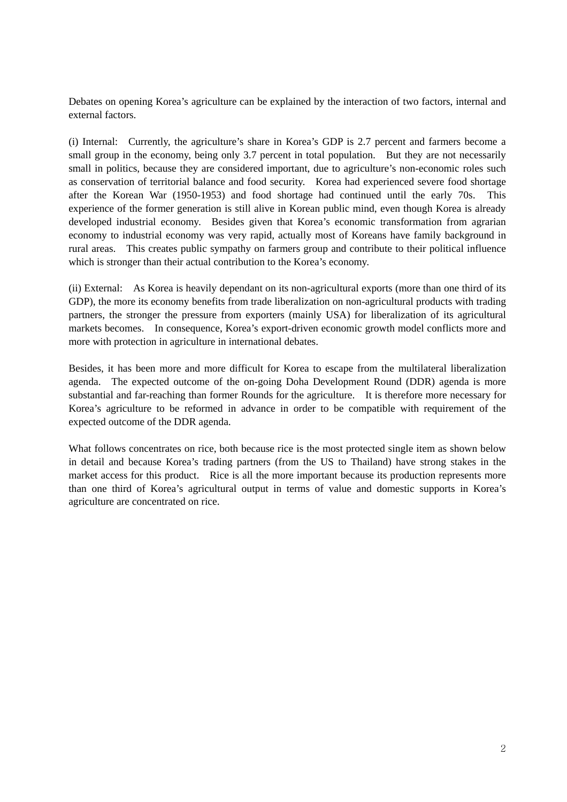Debates on opening Korea's agriculture can be explained by the interaction of two factors, internal and external factors.

(i) Internal: Currently, the agriculture's share in Korea's GDP is 2.7 percent and farmers become a small group in the economy, being only 3.7 percent in total population. But they are not necessarily small in politics, because they are considered important, due to agriculture's non-economic roles such as conservation of territorial balance and food security. Korea had experienced severe food shortage after the Korean War (1950-1953) and food shortage had continued until the early 70s. This experience of the former generation is still alive in Korean public mind, even though Korea is already developed industrial economy. Besides given that Korea's economic transformation from agrarian economy to industrial economy was very rapid, actually most of Koreans have family background in rural areas. This creates public sympathy on farmers group and contribute to their political influence which is stronger than their actual contribution to the Korea's economy.

(ii) External: As Korea is heavily dependant on its non-agricultural exports (more than one third of its GDP), the more its economy benefits from trade liberalization on non-agricultural products with trading partners, the stronger the pressure from exporters (mainly USA) for liberalization of its agricultural markets becomes. In consequence, Korea's export-driven economic growth model conflicts more and more with protection in agriculture in international debates.

Besides, it has been more and more difficult for Korea to escape from the multilateral liberalization agenda. The expected outcome of the on-going Doha Development Round (DDR) agenda is more substantial and far-reaching than former Rounds for the agriculture. It is therefore more necessary for Korea's agriculture to be reformed in advance in order to be compatible with requirement of the expected outcome of the DDR agenda.

What follows concentrates on rice, both because rice is the most protected single item as shown below in detail and because Korea's trading partners (from the US to Thailand) have strong stakes in the market access for this product. Rice is all the more important because its production represents more than one third of Korea's agricultural output in terms of value and domestic supports in Korea's agriculture are concentrated on rice.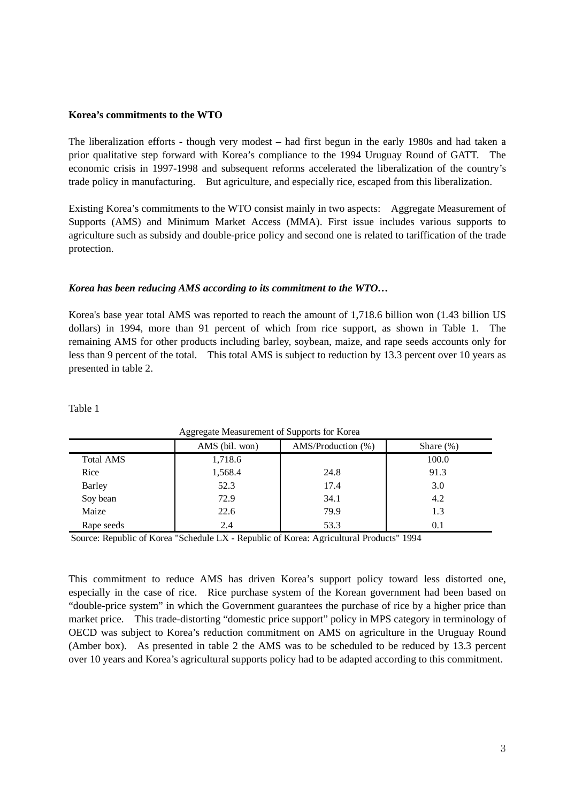### **Korea's commitments to the WTO**

The liberalization efforts - though very modest – had first begun in the early 1980s and had taken a prior qualitative step forward with Korea's compliance to the 1994 Uruguay Round of GATT. The economic crisis in 1997-1998 and subsequent reforms accelerated the liberalization of the country's trade policy in manufacturing. But agriculture, and especially rice, escaped from this liberalization.

Existing Korea's commitments to the WTO consist mainly in two aspects: Aggregate Measurement of Supports (AMS) and Minimum Market Access (MMA). First issue includes various supports to agriculture such as subsidy and double-price policy and second one is related to tariffication of the trade protection.

# *Korea has been reducing AMS according to its commitment to the WTO…*

Korea's base year total AMS was reported to reach the amount of 1,718.6 billion won (1.43 billion US dollars) in 1994, more than 91 percent of which from rice support, as shown in Table 1. The remaining AMS for other products including barley, soybean, maize, and rape seeds accounts only for less than 9 percent of the total. This total AMS is subject to reduction by 13.3 percent over 10 years as presented in table 2.

|                  |                | . .                |              |
|------------------|----------------|--------------------|--------------|
|                  | AMS (bil. won) | AMS/Production (%) | Share $(\%)$ |
| <b>Total AMS</b> | 1,718.6        |                    | 100.0        |
| Rice             | 1,568.4        | 24.8               | 91.3         |
| <b>Barley</b>    | 52.3           | 17.4               | 3.0          |
| Soy bean         | 72.9           | 34.1               | 4.2          |
| Maize            | 22.6           | 79.9               | 1.3          |
| Rape seeds       | 2.4            | 53.3               | 0.1          |

Table 1

### Aggregate Measurement of Supports for Korea

Source: Republic of Korea "Schedule LX - Republic of Korea: Agricultural Products" 1994

This commitment to reduce AMS has driven Korea's support policy toward less distorted one, especially in the case of rice. Rice purchase system of the Korean government had been based on "double-price system" in which the Government guarantees the purchase of rice by a higher price than market price. This trade-distorting "domestic price support" policy in MPS category in terminology of OECD was subject to Korea's reduction commitment on AMS on agriculture in the Uruguay Round (Amber box). As presented in table 2 the AMS was to be scheduled to be reduced by 13.3 percent over 10 years and Korea's agricultural supports policy had to be adapted according to this commitment.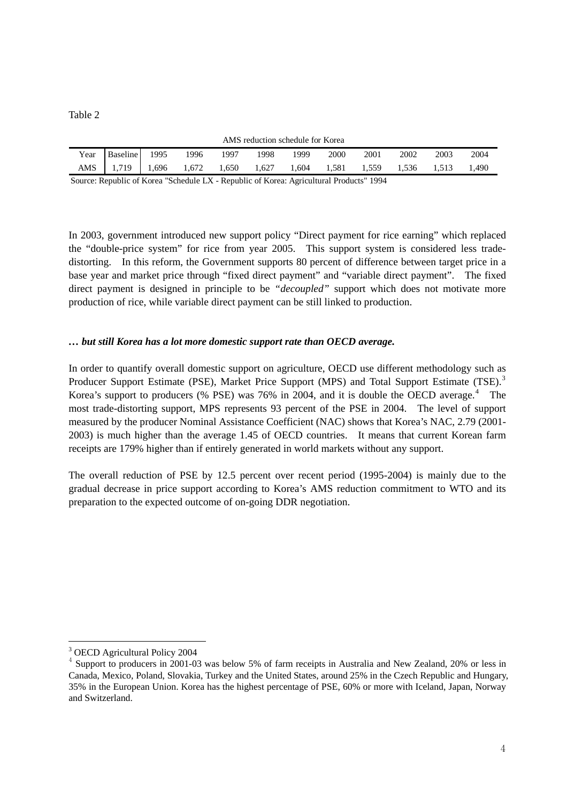| AMS reduction schedule for Korea |                                                                               |      |      |       |       |       |       |       |       |       |       |
|----------------------------------|-------------------------------------------------------------------------------|------|------|-------|-------|-------|-------|-------|-------|-------|-------|
| Year                             | Baseline                                                                      | 1995 | 1996 | 1997  | 1998  | 1999  | 2000  | 2001  | 2002  | 2003  | 2004  |
|                                  | AMS 1,719 1,696 1,672                                                         |      |      | 1.650 | 1.627 | 1.604 | 1.581 | 1.559 | 1.536 | 1.513 | 1.490 |
|                                  | $\alpha$ n iii $\alpha$ it is in the $\alpha$ in the $\alpha$ is the $\alpha$ |      |      |       |       |       |       |       |       |       |       |

Source: Republic of Korea "Schedule LX - Republic of Korea: Agricultural Products" 1994

In 2003, government introduced new support policy "Direct payment for rice earning" which replaced the "double-price system" for rice from year 2005. This support system is considered less tradedistorting. In this reform, the Government supports 80 percent of difference between target price in a base year and market price through "fixed direct payment" and "variable direct payment". The fixed direct payment is designed in principle to be *"decoupled"* support which does not motivate more production of rice, while variable direct payment can be still linked to production.

# *… but still Korea has a lot more domestic support rate than OECD average.*

In order to quantify overall domestic support on agriculture, OECD use different methodology such as Producer Support Estimate (PSE), Market Price Support (MPS) and Total Support Estimate (TSE).<sup>[3](#page-3-0)</sup> Korea's support to producers (% PSE) was 76% in 200[4](#page-3-1), and it is double the OECD average. $4$  The most trade-distorting support, MPS represents 93 percent of the PSE in 2004. The level of support measured by the producer Nominal Assistance Coefficient (NAC) shows that Korea's NAC, 2.79 (2001- 2003) is much higher than the average 1.45 of OECD countries. It means that current Korean farm receipts are 179% higher than if entirely generated in world markets without any support.

The overall reduction of PSE by 12.5 percent over recent period (1995-2004) is mainly due to the gradual decrease in price support according to Korea's AMS reduction commitment to WTO and its preparation to the expected outcome of on-going DDR negotiation.

<sup>&</sup>lt;sup>3</sup> OECD Agricultural Policy 2004

<span id="page-3-1"></span><span id="page-3-0"></span><sup>&</sup>lt;sup>4</sup> Support to producers in 2001-03 was below 5% of farm receipts in Australia and New Zealand, 20% or less in Canada, Mexico, Poland, Slovakia, Turkey and the United States, around 25% in the Czech Republic and Hungary, 35% in the European Union. Korea has the highest percentage of PSE, 60% or more with Iceland, Japan, Norway and Switzerland.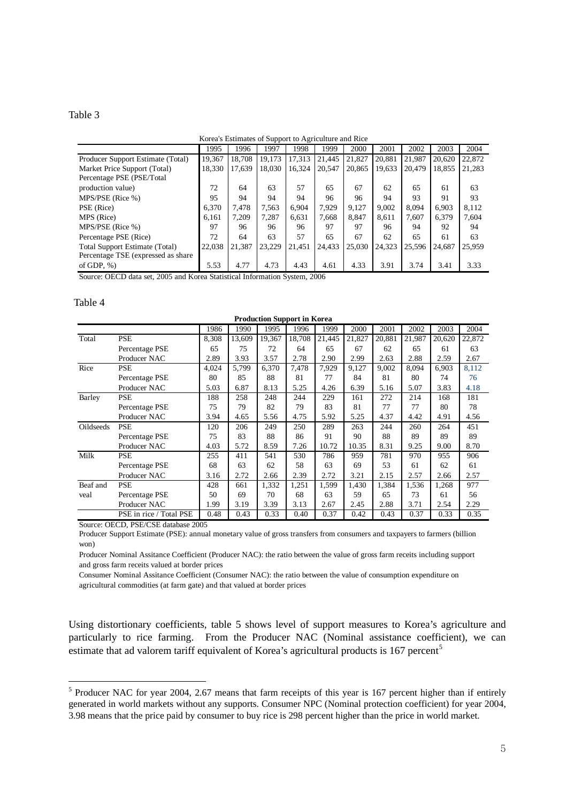| 1995<br>1996<br>1997<br>1999<br>2000<br>1998<br>2001<br>2002<br>2003                                                            | 2004<br>22,872 |
|---------------------------------------------------------------------------------------------------------------------------------|----------------|
|                                                                                                                                 |                |
| 21,827<br>21,987<br>18.708<br>19.173<br>17.313<br>21.445<br>20.881<br>19.367<br>20.620<br>Producer Support Estimate (Total)     |                |
| 17.639<br>18,330<br>18,030<br>16.324<br>20.547<br>20,865<br>19,633<br>20.479<br>18,855<br>Market Price Support (Total)          | 21,283         |
| Percentage PSE (PSE/Total                                                                                                       |                |
| 57<br>72<br>63<br>65<br>67<br>65<br>62<br>64<br>61<br>production value)                                                         | 63             |
| 93<br>MPS/PSE (Rice %)<br>91<br>95<br>94<br>94<br>94<br>96<br>96<br>94                                                          | 93             |
| 7.929<br>9.002<br>7.478<br>6.904<br>9.127<br>8.094<br>7,563<br>6.903<br>PSE (Rice)<br>6.370                                     | 8.112          |
| 7.209<br>7.287<br>MPS (Rice)<br>6.631<br>7.668<br>8.847<br>8.611<br>7.607<br>6.379<br>6.161                                     | 7.604          |
| 97<br>97<br>MPS/PSE (Rice %)<br>97<br>96<br>94<br>92<br>96<br>96<br>96                                                          | 94             |
| 57<br>72<br>67<br>63<br>65<br>62<br>65<br>Percentage PSE (Rice)<br>64<br>61                                                     | 63             |
| 21,387<br>23.229<br>24.323<br>22,038<br>21.451<br>24.433<br>25,030<br>25,596<br><b>Total Support Estimate (Total)</b><br>24,687 | 25,959         |
| Percentage TSE (expressed as share)                                                                                             |                |
| 4.77<br>5.53<br>4.73<br>4.33<br>of GDP, $%$ )<br>4.43<br>4.61<br>3.91<br>3.74<br>3.41                                           | 3.33           |

Source: OECD data set, 2005 and Korea Statistical Information System, 2006

#### Table 4

l

|           | <b>Production Support in Korea</b> |       |        |        |        |        |        |        |        |        |        |
|-----------|------------------------------------|-------|--------|--------|--------|--------|--------|--------|--------|--------|--------|
|           |                                    | 1986  | 1990   | 1995   | 1996   | 1999   | 2000   | 2001   | 2002   | 2003   | 2004   |
| Total     | <b>PSE</b>                         | 8,308 | 13.609 | 19,367 | 18,708 | 21.445 | 21,827 | 20,881 | 21,987 | 20,620 | 22,872 |
|           | Percentage PSE                     | 65    | 75     | 72     | 64     | 65     | 67     | 62     | 65     | 61     | 63     |
|           | Producer NAC                       | 2.89  | 3.93   | 3.57   | 2.78   | 2.90   | 2.99   | 2.63   | 2.88   | 2.59   | 2.67   |
| Rice      | <b>PSE</b>                         | 4,024 | 5.799  | 6,370  | 7.478  | 7,929  | 9,127  | 9,002  | 8,094  | 6,903  | 8,112  |
|           | Percentage PSE                     | 80    | 85     | 88     | 81     | 77     | 84     | 81     | 80     | 74     | 76     |
|           | Producer NAC                       | 5.03  | 6.87   | 8.13   | 5.25   | 4.26   | 6.39   | 5.16   | 5.07   | 3.83   | 4.18   |
| Barley    | <b>PSE</b>                         | 188   | 258    | 248    | 244    | 229    | 161    | 272    | 214    | 168    | 181    |
|           | Percentage PSE                     | 75    | 79     | 82     | 79     | 83     | 81     | 77     | 77     | 80     | 78     |
|           | Producer NAC                       | 3.94  | 4.65   | 5.56   | 4.75   | 5.92   | 5.25   | 4.37   | 4.42   | 4.91   | 4.56   |
| Oildseeds | <b>PSE</b>                         | 120   | 206    | 249    | 250    | 289    | 263    | 244    | 260    | 264    | 451    |
|           | Percentage PSE                     | 75    | 83     | 88     | 86     | 91     | 90     | 88     | 89     | 89     | 89     |
|           | Producer NAC                       | 4.03  | 5.72   | 8.59   | 7.26   | 10.72  | 10.35  | 8.31   | 9.25   | 9.00   | 8.70   |
| Milk      | <b>PSE</b>                         | 255   | 411    | 541    | 530    | 786    | 959    | 781    | 970    | 955    | 906    |
|           | Percentage PSE                     | 68    | 63     | 62     | 58     | 63     | 69     | 53     | 61     | 62     | 61     |
|           | Producer NAC                       | 3.16  | 2.72   | 2.66   | 2.39   | 2.72   | 3.21   | 2.15   | 2.57   | 2.66   | 2.57   |
| Beaf and  | <b>PSE</b>                         | 428   | 661    | 1,332  | 1,251  | 1,599  | 1,430  | 1,384  | 1,536  | 1,268  | 977    |
| veal      | Percentage PSE                     | 50    | 69     | 70     | 68     | 63     | 59     | 65     | 73     | 61     | 56     |
|           | Producer NAC                       | 1.99  | 3.19   | 3.39   | 3.13   | 2.67   | 2.45   | 2.88   | 3.71   | 2.54   | 2.29   |
|           | PSE in rice / Total PSE            | 0.48  | 0.43   | 0.33   | 0.40   | 0.37   | 0.42   | 0.43   | 0.37   | 0.33   | 0.35   |

Source: OECD, PSE/CSE database 2005

Producer Support Estimate (PSE): annual monetary value of gross transfers from consumers and taxpayers to farmers (billion won)

Producer Nominal Assitance Coefficient (Producer NAC): the ratio between the value of gross farm receits including support and gross farm receits valued at border prices

Consumer Nominal Assitance Coefficient (Consumer NAC): the ratio between the value of consumption expenditure on agricultural commodities (at farm gate) and that valued at border prices

Using distortionary coefficients, table 5 shows level of support measures to Korea's agriculture and particularly to rice farming. From the Producer NAC (Nominal assistance coefficient), we can estimate that ad valorem tariff equivalent of Korea's agricultural products is 167 percent<sup>[5](#page-4-0)</sup>

<span id="page-4-0"></span><sup>&</sup>lt;sup>5</sup> Producer NAC for year 2004, 2.67 means that farm receipts of this year is 167 percent higher than if entirely generated in world markets without any supports. Consumer NPC (Nominal protection coefficient) for year 2004, 3.98 means that the price paid by consumer to buy rice is 298 percent higher than the price in world market.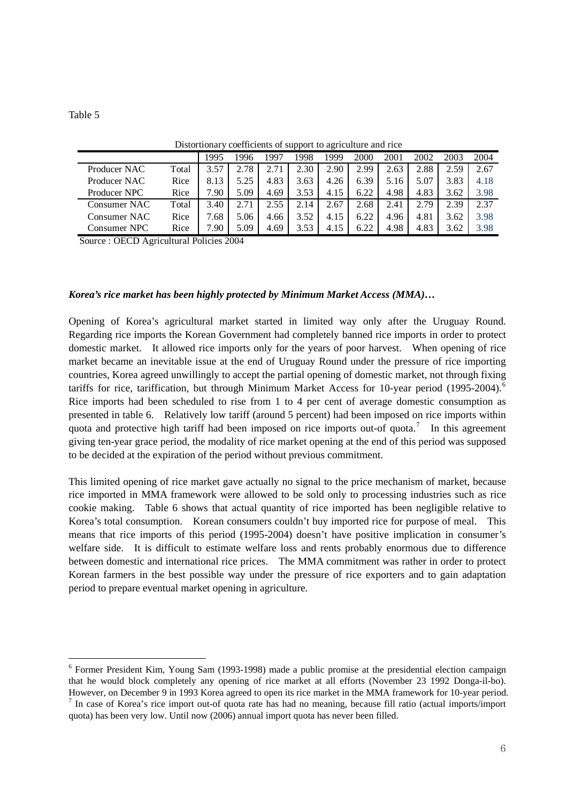l

|              |       |      |      |      | . .  | ~    |      |      |      |      |      |
|--------------|-------|------|------|------|------|------|------|------|------|------|------|
|              |       | 1995 | 996  | 199′ | 1998 | 1999 | 2000 | 2001 | 2002 | 2003 | 2004 |
| Producer NAC | Total | 3.57 | 2.78 | 2.71 | 2.30 | 2.90 | 2.99 | 2.63 | 2.88 | 2.59 | 2.67 |
| Producer NAC | Rice  | 8.13 | 5.25 | 4.83 | 3.63 | 4.26 | 6.39 | 5.16 | 5.07 | 3.83 | 4.18 |
| Producer NPC | Rice  | 7.90 | 5.09 | 4.69 | 3.53 | 4.15 | 6.22 | 4.98 | 4.83 | 3.62 | 3.98 |
| Consumer NAC | Total | 3.40 | 2.71 | 2.55 | 2.14 | 2.67 | 2.68 | 2.41 | 2.79 | 2.39 | 2.37 |
| Consumer NAC | Rice  | '.68 | 5.06 | 4.66 | 3.52 | 4.15 | 6.22 | 4.96 | 4.81 | 3.62 | 3.98 |
| Consumer NPC | Rice  | '.90 | 5.09 | 4.69 | 3.53 | 4.15 | 6.22 | 4.98 | 4.83 | 3.62 | 3.98 |

Distortionary coefficients of support to agriculture and rice

Source : OECD Agricultural Policies 2004

# *Korea's rice market has been highly protected by Minimum Market Access (MMA)…*

Opening of Korea's agricultural market started in limited way only after the Uruguay Round. Regarding rice imports the Korean Government had completely banned rice imports in order to protect domestic market. It allowed rice imports only for the years of poor harvest. When opening of rice market became an inevitable issue at the end of Uruguay Round under the pressure of rice importing countries, Korea agreed unwillingly to accept the partial opening of domestic market, not through fixing tariffs for rice, tariffication, but through Minimum Market Access for 10-year period (1995-2004).<sup>[6](#page-5-0)</sup> Rice imports had been scheduled to rise from 1 to 4 per cent of average domestic consumption as presented in table 6. Relatively low tariff (around 5 percent) had been imposed on rice imports within quota and protective high tariff had been imposed on rice imports out-of quota.<sup>[7](#page-5-1)</sup> In this agreement giving ten-year grace period, the modality of rice market opening at the end of this period was supposed to be decided at the expiration of the period without previous commitment.

This limited opening of rice market gave actually no signal to the price mechanism of market, because rice imported in MMA framework were allowed to be sold only to processing industries such as rice cookie making. Table 6 shows that actual quantity of rice imported has been negligible relative to Korea's total consumption. Korean consumers couldn't buy imported rice for purpose of meal. This means that rice imports of this period (1995-2004) doesn't have positive implication in consumer's welfare side. It is difficult to estimate welfare loss and rents probably enormous due to difference between domestic and international rice prices. The MMA commitment was rather in order to protect Korean farmers in the best possible way under the pressure of rice exporters and to gain adaptation period to prepare eventual market opening in agriculture.

<span id="page-5-0"></span><sup>&</sup>lt;sup>6</sup> Former President Kim, Young Sam (1993-1998) made a public promise at the presidential election campaign that he would block completely any opening of rice market at all efforts (November 23 1992 Donga-il-bo). However, on December 9 in 1993 Korea agreed to open its rice market in the MMA framework for 10-year period. 7  $\frac{1}{1}$  In case of Korea's rice import out-of quota rate has had no meaning, because fill ratio (actual imports/import

<span id="page-5-1"></span>quota) has been very low. Until now (2006) annual import quota has never been filled.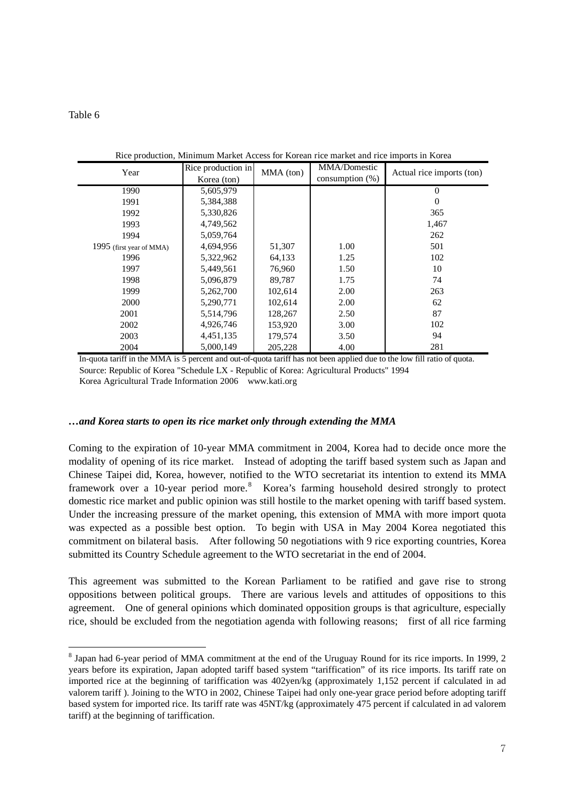l

| Year                     | Rice production in<br>Korea (ton) | MMA (ton) | MMA/Domestic<br>consumption $(\%)$ | Actual rice imports (ton) |  |
|--------------------------|-----------------------------------|-----------|------------------------------------|---------------------------|--|
| 1990                     | 5,605,979                         |           |                                    | $\Omega$                  |  |
| 1991                     | 5,384,388                         |           |                                    | $\Omega$                  |  |
| 1992                     | 5,330,826                         |           |                                    | 365                       |  |
| 1993                     | 4,749,562                         |           |                                    | 1,467                     |  |
| 1994                     | 5,059,764                         |           |                                    | 262                       |  |
| 1995 (first year of MMA) | 4,694,956                         | 51,307    | 1.00                               | 501                       |  |
| 1996                     | 5,322,962                         | 64,133    | 1.25                               | 102                       |  |
| 1997                     | 5,449,561                         | 76,960    | 1.50                               | 10                        |  |
| 1998                     | 5,096,879                         | 89,787    | 1.75                               | 74                        |  |
| 1999                     | 5,262,700                         | 102,614   | 2.00                               | 263                       |  |
| 2000                     | 5,290,771                         | 102,614   | 2.00                               | 62                        |  |
| 2001                     | 5,514,796                         | 128,267   | 2.50                               | 87                        |  |
| 2002                     | 4,926,746                         | 153,920   | 3.00                               | 102                       |  |
| 2003                     | 4,451,135                         | 179,574   | 3.50                               | 94                        |  |
| 2004                     | 5,000,149                         | 205,228   | 4.00                               | 281                       |  |

Rice production, Minimum Market Access for Korean rice market and rice imports in Korea

Source: Republic of Korea "Schedule LX - Republic of Korea: Agricultural Products" 1994 Korea Agricultural Trade Information 2006 www.kati.org In-quota tariff in the MMA is 5 percent and out-of-quota tariff has not been applied due to the low fill ratio of quota.

### *…and Korea starts to open its rice market only through extending the MMA*

Coming to the expiration of 10-year MMA commitment in 2004, Korea had to decide once more the modality of opening of its rice market. Instead of adopting the tariff based system such as Japan and Chinese Taipei did, Korea, however, notified to the WTO secretariat its intention to extend its MMA framework over a 10-year period more.<sup>[8](#page-6-0)</sup> Korea's farming household desired strongly to protect domestic rice market and public opinion was still hostile to the market opening with tariff based system. Under the increasing pressure of the market opening, this extension of MMA with more import quota was expected as a possible best option. To begin with USA in May 2004 Korea negotiated this commitment on bilateral basis. After following 50 negotiations with 9 rice exporting countries, Korea submitted its Country Schedule agreement to the WTO secretariat in the end of 2004.

This agreement was submitted to the Korean Parliament to be ratified and gave rise to strong oppositions between political groups. There are various levels and attitudes of oppositions to this agreement. One of general opinions which dominated opposition groups is that agriculture, especially rice, should be excluded from the negotiation agenda with following reasons; first of all rice farming

<span id="page-6-0"></span><sup>&</sup>lt;sup>8</sup> Japan had 6-year period of MMA commitment at the end of the Uruguay Round for its rice imports. In 1999, 2 years before its expiration, Japan adopted tariff based system "tariffication" of its rice imports. Its tariff rate on imported rice at the beginning of tariffication was 402yen/kg (approximately 1,152 percent if calculated in ad valorem tariff ). Joining to the WTO in 2002, Chinese Taipei had only one-year grace period before adopting tariff based system for imported rice. Its tariff rate was 45NT/kg (approximately 475 percent if calculated in ad valorem tariff) at the beginning of tariffication.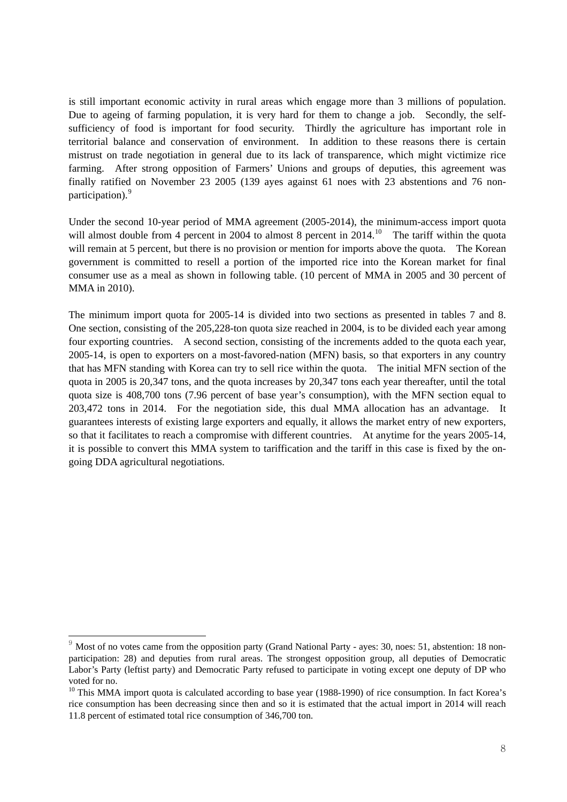is still important economic activity in rural areas which engage more than 3 millions of population. Due to ageing of farming population, it is very hard for them to change a job. Secondly, the selfsufficiency of food is important for food security. Thirdly the agriculture has important role in territorial balance and conservation of environment. In addition to these reasons there is certain mistrust on trade negotiation in general due to its lack of transparence, which might victimize rice farming. After strong opposition of Farmers' Unions and groups of deputies, this agreement was finally ratified on November 23 2005 (139 ayes against 61 noes with 23 abstentions and 76 non-participation).<sup>[9](#page-7-0)</sup>

Under the second 10-year period of MMA agreement (2005-2014), the minimum-access import quota will almost double from 4 percent in 2004 to almost 8 percent in 2014.<sup>[10](#page-7-1)</sup> The tariff within the quota will remain at 5 percent, but there is no provision or mention for imports above the quota. The Korean government is committed to resell a portion of the imported rice into the Korean market for final consumer use as a meal as shown in following table. (10 percent of MMA in 2005 and 30 percent of MMA in 2010).

The minimum import quota for 2005-14 is divided into two sections as presented in tables 7 and 8. One section, consisting of the 205,228-ton quota size reached in 2004, is to be divided each year among four exporting countries. A second section, consisting of the increments added to the quota each year, 2005-14, is open to exporters on a most-favored-nation (MFN) basis, so that exporters in any country that has MFN standing with Korea can try to sell rice within the quota. The initial MFN section of the quota in 2005 is 20,347 tons, and the quota increases by 20,347 tons each year thereafter, until the total quota size is 408,700 tons (7.96 percent of base year's consumption), with the MFN section equal to 203,472 tons in 2014. For the negotiation side, this dual MMA allocation has an advantage. It guarantees interests of existing large exporters and equally, it allows the market entry of new exporters, so that it facilitates to reach a compromise with different countries. At anytime for the years 2005-14, it is possible to convert this MMA system to tariffication and the tariff in this case is fixed by the ongoing DDA agricultural negotiations.

<span id="page-7-0"></span> $9 \text{ Most of no votes came from the opposition party (Grand National Party - ayes: 30, noes: 51, abstraction: 18 non$ participation: 28) and deputies from rural areas. The strongest opposition group, all deputies of Democratic Labor's Party (leftist party) and Democratic Party refused to participate in voting except one deputy of DP who voted for no.

<span id="page-7-1"></span><sup>&</sup>lt;sup>10</sup> This MMA import quota is calculated according to base year (1988-1990) of rice consumption. In fact Korea's rice consumption has been decreasing since then and so it is estimated that the actual import in 2014 will reach 11.8 percent of estimated total rice consumption of 346,700 ton.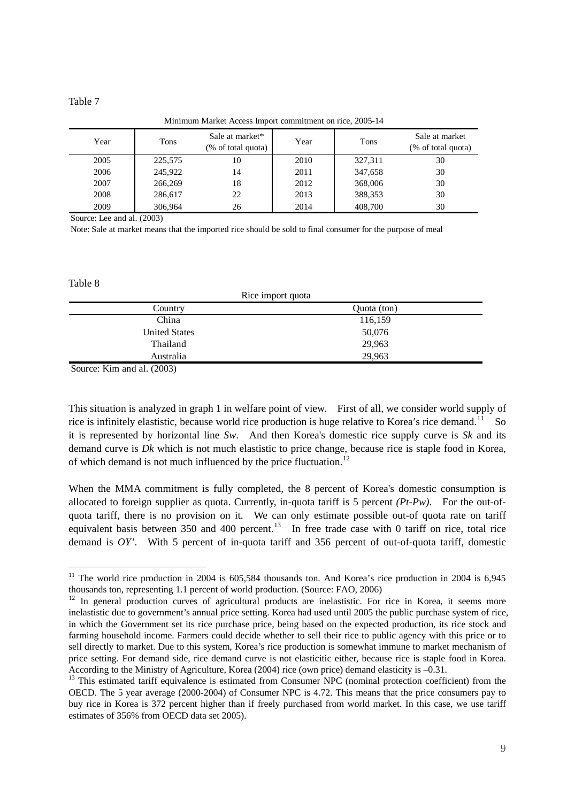Minimum Market Access Import commitment on rice, 2005-14

| Year | Tons    | Sale at market*<br>(% of total quota) | Year | Tons    | Sale at market<br>(% of total quota) |
|------|---------|---------------------------------------|------|---------|--------------------------------------|
| 2005 | 225,575 | 10                                    | 2010 | 327,311 | 30                                   |
| 2006 | 245,922 | 14                                    | 2011 | 347,658 | 30                                   |
| 2007 | 266,269 | 18                                    | 2012 | 368,006 | 30                                   |
| 2008 | 286,617 | 22                                    | 2013 | 388,353 | 30                                   |
| 2009 | 306.964 | 26                                    | 2014 | 408,700 | 30                                   |

Source: Lee and al. (2003)

Note: Sale at market means that the imported rice should be sold to final consumer for the purpose of meal

Table 8

l

| Kice import quota    |             |  |  |  |  |  |
|----------------------|-------------|--|--|--|--|--|
| Country              | Quota (ton) |  |  |  |  |  |
| China                | 116,159     |  |  |  |  |  |
| <b>United States</b> | 50,076      |  |  |  |  |  |
| Thailand             | 29,963      |  |  |  |  |  |
| Australia            | 29,963      |  |  |  |  |  |
|                      |             |  |  |  |  |  |

Rice in the control of the control of the control of the control of the control of the control of the control of the control of the control of the control of the control of the control of the control of the control of the

Source: Kim and al. (2003)

This situation is analyzed in graph 1 in welfare point of view. First of all, we consider world supply of rice is infinitely elastistic, because world rice production is huge relative to Korea's rice demand.<sup>[11](#page-8-0)</sup> So it is represented by horizontal line *Sw*. And then Korea's domestic rice supply curve is *Sk* and its demand curve is *Dk* which is not much elastistic to price change, because rice is staple food in Korea, of which demand is not much influenced by the price fluctuation.<sup>[12](#page-8-1)</sup>

When the MMA commitment is fully completed, the 8 percent of Korea's domestic consumption is allocated to foreign supplier as quota. Currently, in-quota tariff is 5 percent *(Pt-Pw)*. For the out-ofquota tariff, there is no provision on it. We can only estimate possible out-of quota rate on tariff equivalent basis between 350 and 400 percent.<sup>[13](#page-8-2)</sup> In free trade case with 0 tariff on rice, total rice demand is *OY'*. With 5 percent of in-quota tariff and 356 percent of out-of-quota tariff, domestic

<span id="page-8-0"></span><sup>&</sup>lt;sup>11</sup> The world rice production in 2004 is 605,584 thousands ton. And Korea's rice production in 2004 is 6,945 thousands ton, representing 1.1 percent of world production. (Source: FAO, 2006)

<span id="page-8-1"></span><sup>&</sup>lt;sup>12</sup> In general production curves of agricultural products are inelastistic. For rice in Korea, it seems more inelastistic due to government's annual price setting. Korea had used until 2005 the public purchase system of rice, in which the Government set its rice purchase price, being based on the expected production, its rice stock and farming household income. Farmers could decide whether to sell their rice to public agency with this price or to sell directly to market. Due to this system, Korea's rice production is somewhat immune to market mechanism of price setting. For demand side, rice demand curve is not elasticitic either, because rice is staple food in Korea. According to the Ministry of Agriculture, Korea (2004) rice (own price) demand elasticity is –0.31.<br><sup>13</sup> This estimated tariff equivalence is estimated from Consumer NPC (nominal protection coefficient) from the

<span id="page-8-2"></span>OECD. The 5 year average (2000-2004) of Consumer NPC is 4.72. This means that the price consumers pay to buy rice in Korea is 372 percent higher than if freely purchased from world market. In this case, we use tariff estimates of 356% from OECD data set 2005).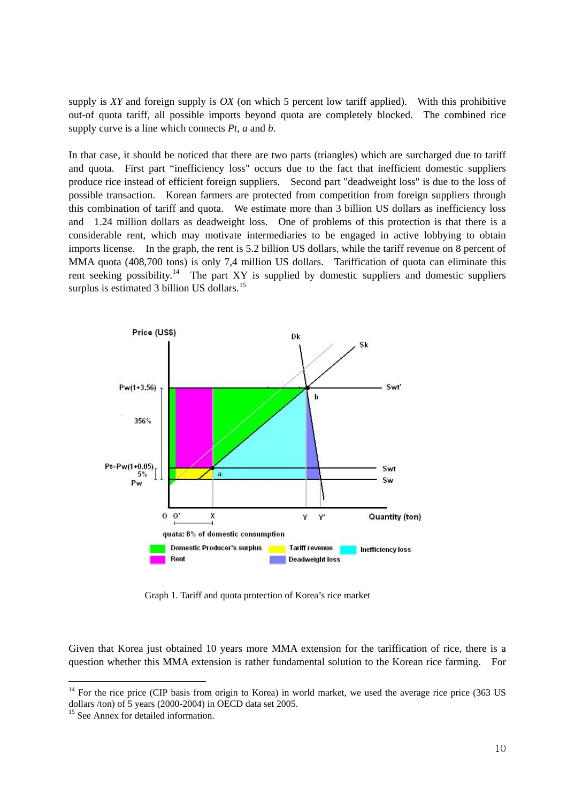supply is *XY* and foreign supply is *OX* (on which 5 percent low tariff applied). With this prohibitive out-of quota tariff, all possible imports beyond quota are completely blocked. The combined rice supply curve is a line which connects *Pt*, *a* and *b*.

In that case, it should be noticed that there are two parts (triangles) which are surcharged due to tariff and quota. First part "inefficiency loss" occurs due to the fact that inefficient domestic suppliers produce rice instead of efficient foreign suppliers. Second part "deadweight loss" is due to the loss of possible transaction. Korean farmers are protected from competition from foreign suppliers through this combination of tariff and quota. We estimate more than 3 billion US dollars as inefficiency loss and 1.24 million dollars as deadweight loss. One of problems of this protection is that there is a considerable rent, which may motivate intermediaries to be engaged in active lobbying to obtain imports license. In the graph, the rent is 5.2 billion US dollars, while the tariff revenue on 8 percent of MMA quota (408,700 tons) is only 7,4 million US dollars. Tariffication of quota can eliminate this rent seeking possibility.<sup>[14](#page-9-0)</sup> The part XY is supplied by domestic suppliers and domestic suppliers surplus is estimated 3 billion US dollars.<sup>[15](#page-9-1)</sup>



Graph 1. Tariff and quota protection of Korea's rice market

Given that Korea just obtained 10 years more MMA extension for the tariffication of rice, there is a question whether this MMA extension is rather fundamental solution to the Korean rice farming. For

<span id="page-9-0"></span><sup>&</sup>lt;sup>14</sup> For the rice price (CIP basis from origin to Korea) in world market, we used the average rice price (363 US dollars /ton) of 5 years (2000-2004) in OECD data set 2005.

<span id="page-9-1"></span><sup>&</sup>lt;sup>15</sup> See Annex for detailed information.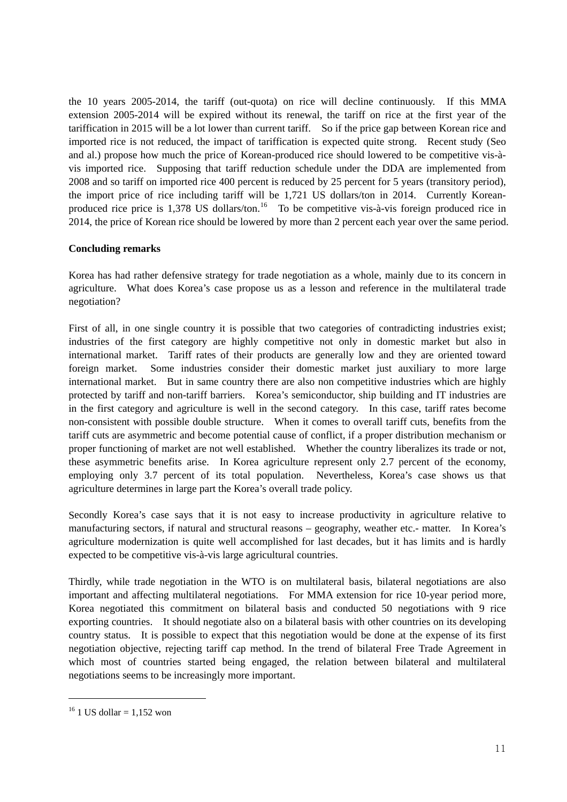the 10 years 2005-2014, the tariff (out-quota) on rice will decline continuously. If this MMA extension 2005-2014 will be expired without its renewal, the tariff on rice at the first year of the tariffication in 2015 will be a lot lower than current tariff. So if the price gap between Korean rice and imported rice is not reduced, the impact of tariffication is expected quite strong. Recent study (Seo and al.) propose how much the price of Korean-produced rice should lowered to be competitive vis-àvis imported rice. Supposing that tariff reduction schedule under the DDA are implemented from 2008 and so tariff on imported rice 400 percent is reduced by 25 percent for 5 years (transitory period), the import price of rice including tariff will be 1,721 US dollars/ton in 2014. Currently Korean-produced rice price is 1,378 US dollars/ton.<sup>[16](#page-10-0)</sup> To be competitive vis-à-vis foreign produced rice in 2014, the price of Korean rice should be lowered by more than 2 percent each year over the same period.

# **Concluding remarks**

Korea has had rather defensive strategy for trade negotiation as a whole, mainly due to its concern in agriculture. What does Korea's case propose us as a lesson and reference in the multilateral trade negotiation?

First of all, in one single country it is possible that two categories of contradicting industries exist; industries of the first category are highly competitive not only in domestic market but also in international market. Tariff rates of their products are generally low and they are oriented toward foreign market. Some industries consider their domestic market just auxiliary to more large international market. But in same country there are also non competitive industries which are highly protected by tariff and non-tariff barriers. Korea's semiconductor, ship building and IT industries are in the first category and agriculture is well in the second category. In this case, tariff rates become non-consistent with possible double structure. When it comes to overall tariff cuts, benefits from the tariff cuts are asymmetric and become potential cause of conflict, if a proper distribution mechanism or proper functioning of market are not well established. Whether the country liberalizes its trade or not, these asymmetric benefits arise. In Korea agriculture represent only 2.7 percent of the economy, employing only 3.7 percent of its total population. Nevertheless, Korea's case shows us that agriculture determines in large part the Korea's overall trade policy.

Secondly Korea's case says that it is not easy to increase productivity in agriculture relative to manufacturing sectors, if natural and structural reasons – geography, weather etc.- matter. In Korea's agriculture modernization is quite well accomplished for last decades, but it has limits and is hardly expected to be competitive vis-à-vis large agricultural countries.

Thirdly, while trade negotiation in the WTO is on multilateral basis, bilateral negotiations are also important and affecting multilateral negotiations. For MMA extension for rice 10-year period more, Korea negotiated this commitment on bilateral basis and conducted 50 negotiations with 9 rice exporting countries. It should negotiate also on a bilateral basis with other countries on its developing country status. It is possible to expect that this negotiation would be done at the expense of its first negotiation objective, rejecting tariff cap method. In the trend of bilateral Free Trade Agreement in which most of countries started being engaged, the relation between bilateral and multilateral negotiations seems to be increasingly more important.

<span id="page-10-0"></span> $16$  1 US dollar = 1,152 won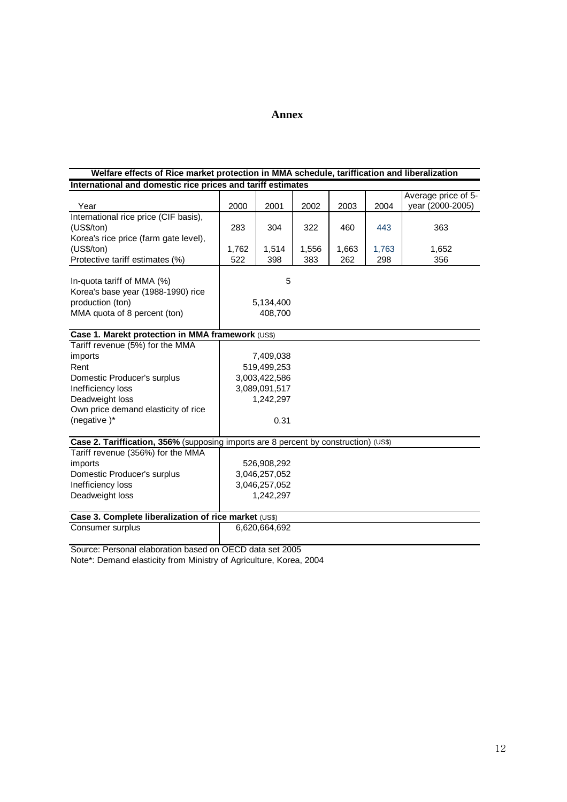# **Annex**

#### **International and domestic rice prices and tariff estimates Welfare effects of Rice market protection in MMA schedule, tariffication and liberalization**

| Year                                                                                                                                                                            | 2000         | 2001                                                                            | 2002         | 2003         | 2004         | Average price of 5-<br>year (2000-2005) |
|---------------------------------------------------------------------------------------------------------------------------------------------------------------------------------|--------------|---------------------------------------------------------------------------------|--------------|--------------|--------------|-----------------------------------------|
| International rice price (CIF basis),<br>(US\$/ton)<br>Korea's rice price (farm gate level),                                                                                    | 283          | 304                                                                             | 322          | 460          | 443          | 363                                     |
| (US\$/ton)<br>Protective tariff estimates (%)                                                                                                                                   | 1,762<br>522 | 1,514<br>398                                                                    | 1,556<br>383 | 1,663<br>262 | 1,763<br>298 | 1,652<br>356                            |
| In-quota tariff of MMA (%)<br>Korea's base year (1988-1990) rice<br>production (ton)<br>MMA quota of 8 percent (ton)                                                            |              | 5<br>5,134,400<br>408,700                                                       |              |              |              |                                         |
| Case 1. Marekt protection in MMA framework (US\$)                                                                                                                               |              |                                                                                 |              |              |              |                                         |
| Tariff revenue (5%) for the MMA<br>imports<br>Rent<br>Domestic Producer's surplus<br>Inefficiency loss<br>Deadweight loss<br>Own price demand elasticity of rice<br>(negative)* |              | 7,409,038<br>519,499,253<br>3,003,422,586<br>3,089,091,517<br>1,242,297<br>0.31 |              |              |              |                                         |
| Case 2. Tariffication, 356% (supposing imports are 8 percent by construction) (US\$)                                                                                            |              |                                                                                 |              |              |              |                                         |
| Tariff revenue (356%) for the MMA<br>imports<br>Domestic Producer's surplus<br>Inefficiency loss<br>Deadweight loss                                                             |              | 526,908,292<br>3,046,257,052<br>3,046,257,052<br>1,242,297                      |              |              |              |                                         |
| Case 3. Complete liberalization of rice market (US\$)                                                                                                                           |              |                                                                                 |              |              |              |                                         |
| Consumer surplus                                                                                                                                                                |              | 6,620,664,692                                                                   |              |              |              |                                         |
|                                                                                                                                                                                 |              |                                                                                 |              |              |              |                                         |

Source: Personal elaboration based on OECD data set 2005

Note\*: Demand elasticity from Ministry of Agriculture, Korea, 2004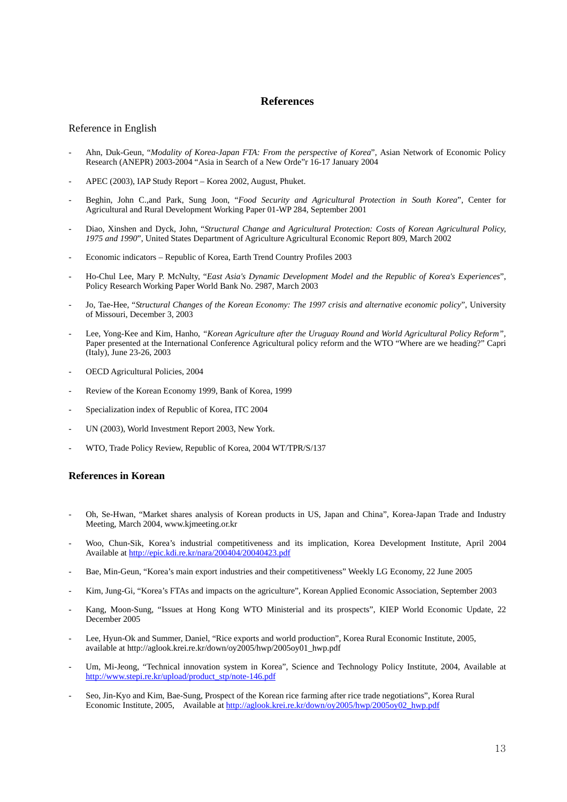# **References**

### Reference in English

- Ahn, Duk-Geun, "*Modality of Korea-Japan FTA: From the perspective of Korea*", Asian Network of Economic Policy Research (ANEPR) 2003-2004 "Asia in Search of a New Orde"r 16-17 January 2004 -
- APEC (2003), IAP Study Report Korea 2002, August, Phuket. -
- Beghin, John C.,and Park, Sung Joon, "*Food Security and Agricultural Protection in South Korea*", Center for Agricultural and Rural Development Working Paper 01-WP 284, September 2001 -
- Diao, Xinshen and Dyck, John, "*Structural Change and Agricultural Protection: Costs of Korean Agricultural Policy, 1975 and 1990*", United States Department of Agriculture Agricultural Economic Report 809, March 2002 -
- Economic indicators Republic of Korea, Earth Trend Country Profiles 2003 -
- Ho-Chul Lee, Mary P. McNulty, "*East Asia's Dynamic Development Model and the Republic of Korea's Experiences*", Policy Research Working Paper World Bank No. 2987, March 2003 -
- Jo, Tae-Hee, "*Structural Changes of the Korean Economy: The 1997 crisis and alternative economic policy*", University of Missouri, December 3, 2003 -
- Lee, Yong-Kee and Kim, Hanho, *"Korean Agriculture after the Uruguay Round and World Agricultural Policy Reform",* Paper presented at the International Conference Agricultural policy reform and the WTO "Where are we heading?" Capri (Italy), June 23-26, 2003 -
- OECD Agricultural Policies, 2004 -
- Review of the Korean Economy 1999, Bank of Korea, 1999 -
- Specialization index of Republic of Korea, ITC 2004 -
- UN (2003), World Investment Report 2003, New York. -
- WTO, Trade Policy Review, Republic of Korea, 2004 WT/TPR/S/137 -

### **eferences in Korean R**

- Oh, Se-Hwan, "Market shares analysis of Korean products in US, Japan and China", Korea-Japan Trade and Industry Meeting, March 2004, www.kjmeeting.or.kr
- Woo, Chun-Sik, Korea's industrial competitiveness and its implication, Korea Development Institute, April 2004 Available at http://epic.kdi.re.kr/nara/200404/20040423.pdf
- Bae, Min-Geun, "Korea's main export industries and their competitiveness" Weekly LG Economy, 22 June 2005
- Kim, Jung-Gi, "Korea's FTAs and impacts on the agriculture", Korean Applied Economic Association, September 2003
- Kang, Moon-Sung, "Issues at Hong Kong WTO Ministerial and its prospects", KIEP World Economic Update, 22 December 2005
- Lee, Hyun-Ok and Summer, Daniel, "Rice exports and world production", Korea Rural Economic Institute, 2005, available at http://aglook.krei.re.kr/down/oy2005/hwp/2005oy01\_hwp.pdf
- Um, Mi-Jeong, "Technical innovation system in Korea", Science and Technology Policy Institute, 2004, Available at http://www.stepi.re.kr/upload/product\_stp/note-146.pdf
- Seo, Jin-Kyo and Kim, Bae-Sung, Prospect of the Korean rice farming after rice trade negotiations", Korea Rural Economic Institute, 2005, Available at http://aglook.krei.re.kr/down/oy2005/hwp/2005oy02\_hwp.pdf